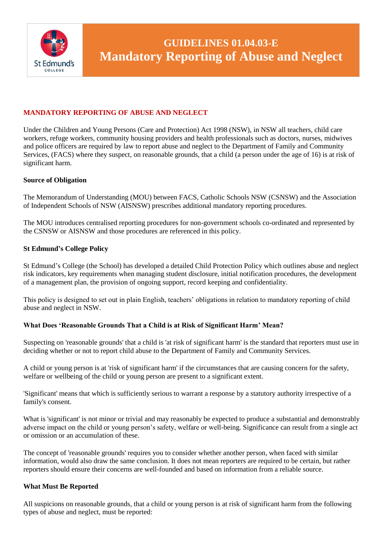

# **MANDATORY REPORTING OF ABUSE AND NEGLECT**

Under the Children and Young Persons (Care and Protection) Act 1998 (NSW), in NSW all teachers, child care workers, refuge workers, community housing providers and health professionals such as doctors, nurses, midwives and police officers are required by law to report abuse and neglect to the Department of Family and Community Services, (FACS) where they suspect, on reasonable grounds, that a child (a person under the age of 16) is at risk of significant harm.

## **Source of Obligation**

The Memorandum of Understanding (MOU) between FACS, Catholic Schools NSW (CSNSW) and the Association of Independent Schools of NSW (AISNSW) prescribes additional mandatory reporting procedures.

The MOU introduces centralised reporting procedures for non-government schools co-ordinated and represented by the CSNSW or AISNSW and those procedures are referenced in this policy.

#### **St Edmund's College Policy**

St Edmund's College (the School) has developed a detailed Child Protection Policy which outlines abuse and neglect risk indicators, key requirements when managing student disclosure, initial notification procedures, the development of a management plan, the provision of ongoing support, record keeping and confidentiality.

This policy is designed to set out in plain English, teachers' obligations in relation to mandatory reporting of child abuse and neglect in NSW.

## **What Does 'Reasonable Grounds That a Child is at Risk of Significant Harm' Mean?**

Suspecting on 'reasonable grounds' that a child is 'at risk of significant harm' is the standard that reporters must use in deciding whether or not to report child abuse to the Department of Family and Community Services.

A child or young person is at 'risk of significant harm' if the circumstances that are causing concern for the safety, welfare or wellbeing of the child or young person are present to a significant extent.

'Significant' means that which is sufficiently serious to warrant a response by a statutory authority irrespective of a family's consent.

What is 'significant' is not minor or trivial and may reasonably be expected to produce a substantial and demonstrably adverse impact on the child or young person's safety, welfare or well-being. Significance can result from a single act or omission or an accumulation of these.

The concept of 'reasonable grounds' requires you to consider whether another person, when faced with similar information, would also draw the same conclusion. It does not mean reporters are required to be certain, but rather reporters should ensure their concerns are well-founded and based on information from a reliable source.

#### **What Must Be Reported**

All suspicions on reasonable grounds, that a child or young person is at risk of significant harm from the following types of abuse and neglect, must be reported: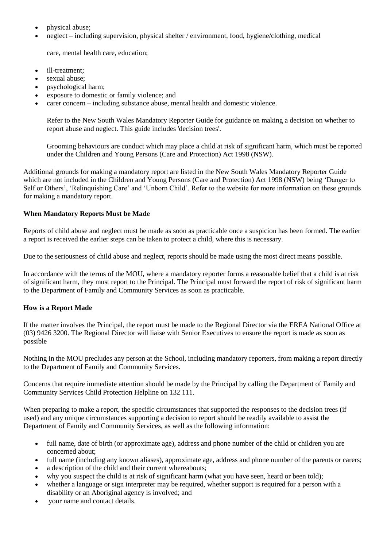- physical abuse:
- neglect including supervision, physical shelter / environment, food, hygiene/clothing, medical

care, mental health care, education;

- ill-treatment:
- sexual abuse;
- psychological harm;
- exposure to domestic or family violence; and
- carer concern including substance abuse, mental health and domestic violence.

Refer to the New South Wales Mandatory Reporter Guide for guidance on making a decision on whether to report abuse and neglect. This guide includes 'decision trees'.

Grooming behaviours are conduct which may place a child at risk of significant harm, which must be reported under the Children and Young Persons (Care and Protection) Act 1998 (NSW).

Additional grounds for making a mandatory report are listed in the New South Wales Mandatory Reporter Guide which are not included in the Children and Young Persons (Care and Protection) Act 1998 (NSW) being 'Danger to Self or Others', 'Relinquishing Care' and 'Unborn Child'. Refer to the website for more information on these grounds for making a mandatory report.

## **When Mandatory Reports Must be Made**

Reports of child abuse and neglect must be made as soon as practicable once a suspicion has been formed. The earlier a report is received the earlier steps can be taken to protect a child, where this is necessary.

Due to the seriousness of child abuse and neglect, reports should be made using the most direct means possible.

In accordance with the terms of the MOU, where a mandatory reporter forms a reasonable belief that a child is at risk of significant harm, they must report to the Principal. The Principal must forward the report of risk of significant harm to the Department of Family and Community Services as soon as practicable.

#### **How is a Report Made**

If the matter involves the Principal, the report must be made to the Regional Director via the EREA National Office at (03) 9426 3200. The Regional Director will liaise with Senior Executives to ensure the report is made as soon as possible

Nothing in the MOU precludes any person at the School, including mandatory reporters, from making a report directly to the Department of Family and Community Services.

Concerns that require immediate attention should be made by the Principal by calling the Department of Family and Community Services Child Protection Helpline on 132 111.

When preparing to make a report, the specific circumstances that supported the responses to the decision trees (if used) and any unique circumstances supporting a decision to report should be readily available to assist the Department of Family and Community Services, as well as the following information:

- full name, date of birth (or approximate age), address and phone number of the child or children you are concerned about;
- full name (including any known aliases), approximate age, address and phone number of the parents or carers;
- a description of the child and their current whereabouts;
- why you suspect the child is at risk of significant harm (what you have seen, heard or been told);
- whether a language or sign interpreter may be required, whether support is required for a person with a disability or an Aboriginal agency is involved; and
- your name and contact details.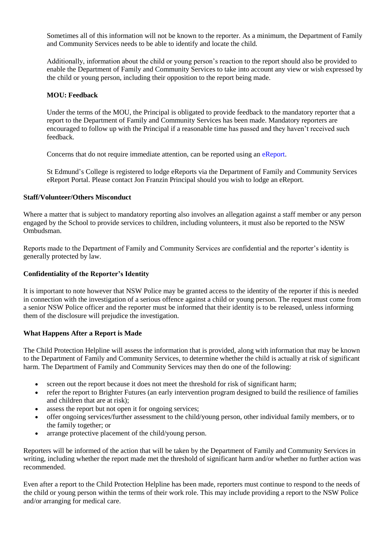Sometimes all of this information will not be known to the reporter. As a minimum, the Department of Family and Community Services needs to be able to identify and locate the child.

Additionally, information about the child or young person's reaction to the report should also be provided to enable the Department of Family and Community Services to take into account any view or wish expressed by the child or young person, including their opposition to the report being made.

#### **MOU: Feedback**

Under the terms of the MOU, the Principal is obligated to provide feedback to the mandatory reporter that a report to the Department of Family and Community Services has been made. Mandatory reporters are encouraged to follow up with the Principal if a reasonable time has passed and they haven't received such feedback.

Concerns that do not require immediate attention, can be reported using an eReport.

St Edmund's College is registered to lodge eReports via the Department of Family and Community Services eReport Portal. Please contact Jon Franzin Principal should you wish to lodge an eReport.

#### **Staff/Volunteer/Others Misconduct**

Where a matter that is subject to mandatory reporting also involves an allegation against a staff member or any person engaged by the School to provide services to children, including volunteers, it must also be reported to the NSW Ombudsman.

Reports made to the Department of Family and Community Services are confidential and the reporter's identity is generally protected by law.

#### **Confidentiality of the Reporter's Identity**

It is important to note however that NSW Police may be granted access to the identity of the reporter if this is needed in connection with the investigation of a serious offence against a child or young person. The request must come from a senior NSW Police officer and the reporter must be informed that their identity is to be released, unless informing them of the disclosure will prejudice the investigation.

#### **What Happens After a Report is Made**

The Child Protection Helpline will assess the information that is provided, along with information that may be known to the Department of Family and Community Services, to determine whether the child is actually at risk of significant harm. The Department of Family and Community Services may then do one of the following:

- screen out the report because it does not meet the threshold for risk of significant harm;
- refer the report to Brighter Futures (an early intervention program designed to build the resilience of families and children that are at risk);
- assess the report but not open it for ongoing services;
- offer ongoing services/further assessment to the child/young person, other individual family members, or to the family together; or
- arrange protective placement of the child/young person.

Reporters will be informed of the action that will be taken by the Department of Family and Community Services in writing, including whether the report made met the threshold of significant harm and/or whether no further action was recommended.

Even after a report to the Child Protection Helpline has been made, reporters must continue to respond to the needs of the child or young person within the terms of their work role. This may include providing a report to the NSW Police and/or arranging for medical care.